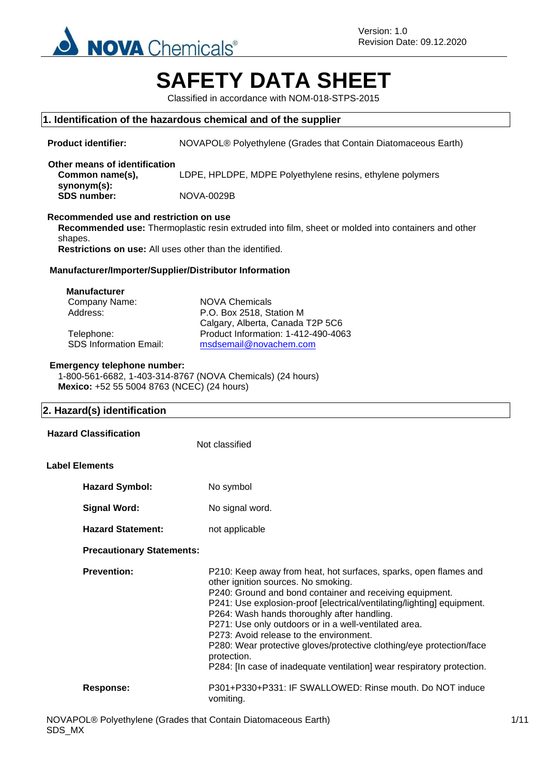

# **SAFETY DATA SHEET**

Classified in accordance with NOM-018-STPS-2015

### **1. Identification of the hazardous chemical and of the supplier**

| <b>Product identifier:</b>                                                                                                                                                                                                                                | NOVAPOL® Polyethylene (Grades that Contain Diatomaceous Earth)                                                                                                                                                                                                                                                                                                                                                                                                                                                                                                    |  |
|-----------------------------------------------------------------------------------------------------------------------------------------------------------------------------------------------------------------------------------------------------------|-------------------------------------------------------------------------------------------------------------------------------------------------------------------------------------------------------------------------------------------------------------------------------------------------------------------------------------------------------------------------------------------------------------------------------------------------------------------------------------------------------------------------------------------------------------------|--|
| Other means of identification<br>Common name(s),                                                                                                                                                                                                          | LDPE, HPLDPE, MDPE Polyethylene resins, ethylene polymers                                                                                                                                                                                                                                                                                                                                                                                                                                                                                                         |  |
| synonym(s):<br><b>SDS number:</b>                                                                                                                                                                                                                         | <b>NOVA-0029B</b>                                                                                                                                                                                                                                                                                                                                                                                                                                                                                                                                                 |  |
| Recommended use and restriction on use<br>Recommended use: Thermoplastic resin extruded into film, sheet or molded into containers and other<br>shapes.<br><b>Restrictions on use:</b> All uses other than the identified.                                |                                                                                                                                                                                                                                                                                                                                                                                                                                                                                                                                                                   |  |
| Manufacturer/Importer/Supplier/Distributor Information                                                                                                                                                                                                    |                                                                                                                                                                                                                                                                                                                                                                                                                                                                                                                                                                   |  |
| <b>Manufacturer</b><br>Company Name:<br><b>NOVA Chemicals</b><br>P.O. Box 2518, Station M<br>Address:<br>Calgary, Alberta, Canada T2P 5C6<br>Product Information: 1-412-490-4063<br>Telephone:<br><b>SDS Information Email:</b><br>msdsemail@novachem.com |                                                                                                                                                                                                                                                                                                                                                                                                                                                                                                                                                                   |  |
| <b>Emergency telephone number:</b><br>Mexico: +52 55 5004 8763 (NCEC) (24 hours)                                                                                                                                                                          | 1-800-561-6682, 1-403-314-8767 (NOVA Chemicals) (24 hours)                                                                                                                                                                                                                                                                                                                                                                                                                                                                                                        |  |
| 2. Hazard(s) identification                                                                                                                                                                                                                               |                                                                                                                                                                                                                                                                                                                                                                                                                                                                                                                                                                   |  |
| <b>Hazard Classification</b>                                                                                                                                                                                                                              | Not classified                                                                                                                                                                                                                                                                                                                                                                                                                                                                                                                                                    |  |
| <b>Label Elements</b>                                                                                                                                                                                                                                     |                                                                                                                                                                                                                                                                                                                                                                                                                                                                                                                                                                   |  |
| <b>Hazard Symbol:</b>                                                                                                                                                                                                                                     | No symbol                                                                                                                                                                                                                                                                                                                                                                                                                                                                                                                                                         |  |
|                                                                                                                                                                                                                                                           |                                                                                                                                                                                                                                                                                                                                                                                                                                                                                                                                                                   |  |
| <b>Signal Word:</b>                                                                                                                                                                                                                                       | No signal word.                                                                                                                                                                                                                                                                                                                                                                                                                                                                                                                                                   |  |
| <b>Hazard Statement:</b>                                                                                                                                                                                                                                  | not applicable                                                                                                                                                                                                                                                                                                                                                                                                                                                                                                                                                    |  |
| <b>Precautionary Statements:</b>                                                                                                                                                                                                                          |                                                                                                                                                                                                                                                                                                                                                                                                                                                                                                                                                                   |  |
| <b>Prevention:</b>                                                                                                                                                                                                                                        | P210: Keep away from heat, hot surfaces, sparks, open flames and<br>other ignition sources. No smoking.<br>P240: Ground and bond container and receiving equipment.<br>P241: Use explosion-proof [electrical/ventilating/lighting] equipment.<br>P264: Wash hands thoroughly after handling.<br>P271: Use only outdoors or in a well-ventilated area.<br>P273: Avoid release to the environment.<br>P280: Wear protective gloves/protective clothing/eye protection/face<br>protection.<br>P284: [In case of inadequate ventilation] wear respiratory protection. |  |

vomiting.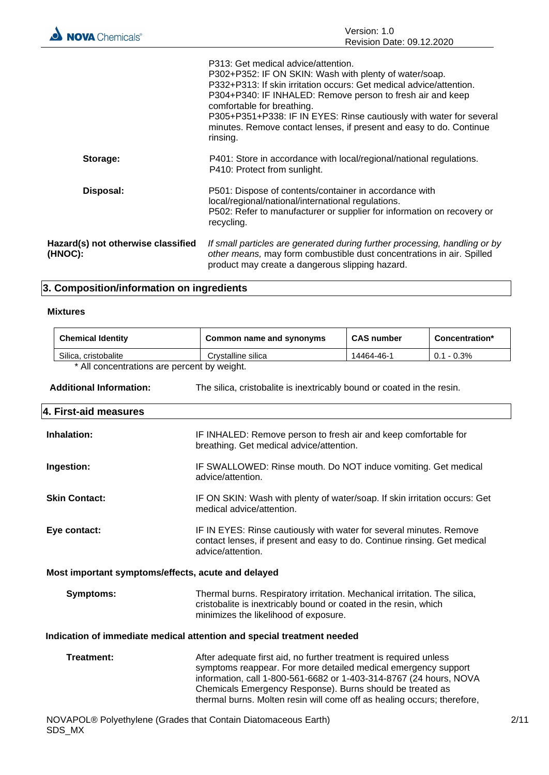|                                               | P313: Get medical advice/attention.<br>P302+P352: IF ON SKIN: Wash with plenty of water/soap.<br>P332+P313: If skin irritation occurs: Get medical advice/attention.<br>P304+P340: IF INHALED: Remove person to fresh air and keep<br>comfortable for breathing.<br>P305+P351+P338: IF IN EYES: Rinse cautiously with water for several<br>minutes. Remove contact lenses, if present and easy to do. Continue<br>rinsing. |
|-----------------------------------------------|----------------------------------------------------------------------------------------------------------------------------------------------------------------------------------------------------------------------------------------------------------------------------------------------------------------------------------------------------------------------------------------------------------------------------|
| Storage:                                      | P401: Store in accordance with local/regional/national regulations.<br>P410: Protect from sunlight.                                                                                                                                                                                                                                                                                                                        |
| Disposal:                                     | P501: Dispose of contents/container in accordance with<br>local/regional/national/international regulations.<br>P502: Refer to manufacturer or supplier for information on recovery or<br>recycling.                                                                                                                                                                                                                       |
| Hazard(s) not otherwise classified<br>(HNOC): | If small particles are generated during further processing, handling or by<br>other means, may form combustible dust concentrations in air. Spilled<br>product may create a dangerous slipping hazard.                                                                                                                                                                                                                     |

# **3. Composition/information on ingredients**

### **Mixtures**

|                                                                        | <b>Chemical Identity</b>                                                                                 | Common name and synonyms                                                                                                                                                                                                                                                                                                                          | <b>CAS number</b> | Concentration* |
|------------------------------------------------------------------------|----------------------------------------------------------------------------------------------------------|---------------------------------------------------------------------------------------------------------------------------------------------------------------------------------------------------------------------------------------------------------------------------------------------------------------------------------------------------|-------------------|----------------|
|                                                                        | Silica, cristobalite                                                                                     | Crystalline silica                                                                                                                                                                                                                                                                                                                                | 14464-46-1        | $0.1 - 0.3\%$  |
|                                                                        | * All concentrations are percent by weight.                                                              |                                                                                                                                                                                                                                                                                                                                                   |                   |                |
|                                                                        | <b>Additional Information:</b><br>The silica, cristobalite is inextricably bound or coated in the resin. |                                                                                                                                                                                                                                                                                                                                                   |                   |                |
|                                                                        | 4. First-aid measures                                                                                    |                                                                                                                                                                                                                                                                                                                                                   |                   |                |
|                                                                        | Inhalation:                                                                                              | IF INHALED: Remove person to fresh air and keep comfortable for<br>breathing. Get medical advice/attention.                                                                                                                                                                                                                                       |                   |                |
|                                                                        | Ingestion:                                                                                               | IF SWALLOWED: Rinse mouth. Do NOT induce vomiting. Get medical<br>advice/attention.                                                                                                                                                                                                                                                               |                   |                |
|                                                                        | <b>Skin Contact:</b>                                                                                     | IF ON SKIN: Wash with plenty of water/soap. If skin irritation occurs: Get<br>medical advice/attention.                                                                                                                                                                                                                                           |                   |                |
|                                                                        | Eye contact:                                                                                             | IF IN EYES: Rinse cautiously with water for several minutes. Remove<br>contact lenses, if present and easy to do. Continue rinsing. Get medical<br>advice/attention.                                                                                                                                                                              |                   |                |
| Most important symptoms/effects, acute and delayed                     |                                                                                                          |                                                                                                                                                                                                                                                                                                                                                   |                   |                |
|                                                                        | <b>Symptoms:</b>                                                                                         | Thermal burns. Respiratory irritation. Mechanical irritation. The silica,<br>cristobalite is inextricably bound or coated in the resin, which<br>minimizes the likelihood of exposure.                                                                                                                                                            |                   |                |
| Indication of immediate medical attention and special treatment needed |                                                                                                          |                                                                                                                                                                                                                                                                                                                                                   |                   |                |
|                                                                        | <b>Treatment:</b>                                                                                        | After adequate first aid, no further treatment is required unless<br>symptoms reappear. For more detailed medical emergency support<br>information, call 1-800-561-6682 or 1-403-314-8767 (24 hours, NOVA<br>Chemicals Emergency Response). Burns should be treated as<br>thermal burns. Molten resin will come off as healing occurs; therefore, |                   |                |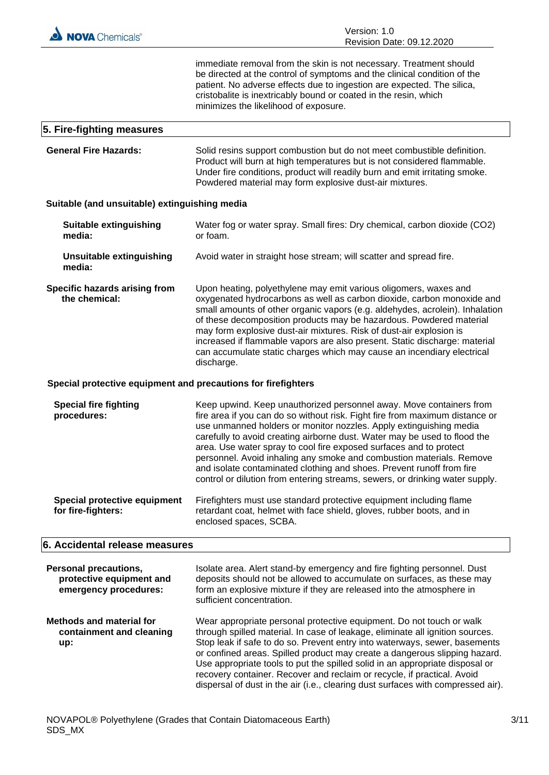immediate removal from the skin is not necessary. Treatment should be directed at the control of symptoms and the clinical condition of the patient. No adverse effects due to ingestion are expected. The silica, cristobalite is inextricably bound or coated in the resin, which minimizes the likelihood of exposure.

# **5. Fire-fighting measures General Fire Hazards:** Solid resins support combustion but do not meet combustible definition. Product will burn at high temperatures but is not considered flammable. Under fire conditions, product will readily burn and emit irritating smoke.

Powdered material may form explosive dust-air mixtures.

#### **Suitable (and unsuitable) extinguishing media**

| <b>Suitable extinguishing</b><br>media:                       | Water fog or water spray. Small fires: Dry chemical, carbon dioxide (CO2)<br>or foam.                                                                                                                                                                                                                                                                                                                                                                                                                                                                                                                         |  |
|---------------------------------------------------------------|---------------------------------------------------------------------------------------------------------------------------------------------------------------------------------------------------------------------------------------------------------------------------------------------------------------------------------------------------------------------------------------------------------------------------------------------------------------------------------------------------------------------------------------------------------------------------------------------------------------|--|
| <b>Unsuitable extinguishing</b><br>media:                     | Avoid water in straight hose stream; will scatter and spread fire.                                                                                                                                                                                                                                                                                                                                                                                                                                                                                                                                            |  |
| <b>Specific hazards arising from</b><br>the chemical:         | Upon heating, polyethylene may emit various oligomers, waxes and<br>oxygenated hydrocarbons as well as carbon dioxide, carbon monoxide and<br>small amounts of other organic vapors (e.g. aldehydes, acrolein). Inhalation<br>of these decomposition products may be hazardous. Powdered material<br>may form explosive dust-air mixtures. Risk of dust-air explosion is<br>increased if flammable vapors are also present. Static discharge: material<br>can accumulate static charges which may cause an incendiary electrical<br>discharge.                                                                |  |
| Special protective equipment and precautions for firefighters |                                                                                                                                                                                                                                                                                                                                                                                                                                                                                                                                                                                                               |  |
| <b>Special fire fighting</b><br>procedures:                   | Keep upwind. Keep unauthorized personnel away. Move containers from<br>fire area if you can do so without risk. Fight fire from maximum distance or<br>use unmanned holders or monitor nozzles. Apply extinguishing media<br>carefully to avoid creating airborne dust. Water may be used to flood the<br>area. Use water spray to cool fire exposed surfaces and to protect<br>personnel. Avoid inhaling any smoke and combustion materials. Remove<br>and isolate contaminated clothing and shoes. Prevent runoff from fire<br>control or dilution from entering streams, sewers, or drinking water supply. |  |
| Special protective equipment<br>for fire-fighters:            | Firefighters must use standard protective equipment including flame<br>retardant coat, helmet with face shield, gloves, rubber boots, and in<br>enclosed spaces, SCBA.                                                                                                                                                                                                                                                                                                                                                                                                                                        |  |

#### **6. Accidental release measures**

| Personal precautions,<br>protective equipment and<br>emergency procedures: | Isolate area. Alert stand-by emergency and fire fighting personnel. Dust<br>deposits should not be allowed to accumulate on surfaces, as these may<br>form an explosive mixture if they are released into the atmosphere in<br>sufficient concentration.                                                                                                                                                                                                                                                                                                         |
|----------------------------------------------------------------------------|------------------------------------------------------------------------------------------------------------------------------------------------------------------------------------------------------------------------------------------------------------------------------------------------------------------------------------------------------------------------------------------------------------------------------------------------------------------------------------------------------------------------------------------------------------------|
| Methods and material for<br>containment and cleaning<br>up:                | Wear appropriate personal protective equipment. Do not touch or walk<br>through spilled material. In case of leakage, eliminate all ignition sources.<br>Stop leak if safe to do so. Prevent entry into waterways, sewer, basements<br>or confined areas. Spilled product may create a dangerous slipping hazard.<br>Use appropriate tools to put the spilled solid in an appropriate disposal or<br>recovery container. Recover and reclaim or recycle, if practical. Avoid<br>dispersal of dust in the air (i.e., clearing dust surfaces with compressed air). |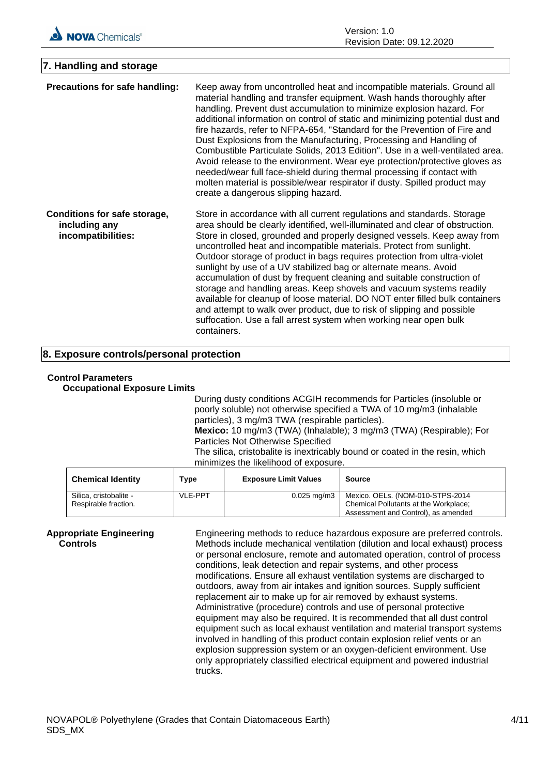| 7. Handling and storage                                             |                                                                                                                                                                                                                                                                                                                                                                                                                                                                                                                                                                                                                                                                                                                                                                                                                                                            |
|---------------------------------------------------------------------|------------------------------------------------------------------------------------------------------------------------------------------------------------------------------------------------------------------------------------------------------------------------------------------------------------------------------------------------------------------------------------------------------------------------------------------------------------------------------------------------------------------------------------------------------------------------------------------------------------------------------------------------------------------------------------------------------------------------------------------------------------------------------------------------------------------------------------------------------------|
| Precautions for safe handling:                                      | Keep away from uncontrolled heat and incompatible materials. Ground all<br>material handling and transfer equipment. Wash hands thoroughly after<br>handling. Prevent dust accumulation to minimize explosion hazard. For<br>additional information on control of static and minimizing potential dust and<br>fire hazards, refer to NFPA-654, "Standard for the Prevention of Fire and<br>Dust Explosions from the Manufacturing, Processing and Handling of<br>Combustible Particulate Solids, 2013 Edition". Use in a well-ventilated area.<br>Avoid release to the environment. Wear eye protection/protective gloves as<br>needed/wear full face-shield during thermal processing if contact with<br>molten material is possible/wear respirator if dusty. Spilled product may<br>create a dangerous slipping hazard.                                 |
| Conditions for safe storage,<br>including any<br>incompatibilities: | Store in accordance with all current regulations and standards. Storage<br>area should be clearly identified, well-illuminated and clear of obstruction.<br>Store in closed, grounded and properly designed vessels. Keep away from<br>uncontrolled heat and incompatible materials. Protect from sunlight.<br>Outdoor storage of product in bags requires protection from ultra-violet<br>sunlight by use of a UV stabilized bag or alternate means. Avoid<br>accumulation of dust by frequent cleaning and suitable construction of<br>storage and handling areas. Keep shovels and vacuum systems readily<br>available for cleanup of loose material. DO NOT enter filled bulk containers<br>and attempt to walk over product, due to risk of slipping and possible<br>suffocation. Use a fall arrest system when working near open bulk<br>containers. |

## **8. Exposure controls/personal protection**

# **Control Parameters**

**Occupational Exposure Limits**

During dusty conditions ACGIH recommends for Particles (insoluble or poorly soluble) not otherwise specified a TWA of 10 mg/m3 (inhalable particles), 3 mg/m3 TWA (respirable particles). **Mexico:** 10 mg/m3 (TWA) (Inhalable); 3 mg/m3 (TWA) (Respirable); For Particles Not Otherwise Specified The silica, cristobalite is inextricably bound or coated in the resin, which minimizes the likelihood of exposure.

| <b>Chemical Identity</b> | Type           | <b>Exposure Limit Values</b> | <b>Source</b>                         |
|--------------------------|----------------|------------------------------|---------------------------------------|
| Silica, cristobalite -   | <b>VLE-PPT</b> | $0.025 \,\mathrm{mq/m3}$     | Mexico. OELs. (NOM-010-STPS-2014      |
| Respirable fraction.     |                |                              | Chemical Pollutants at the Workplace; |
|                          |                |                              | Assessment and Control), as amended   |

**Appropriate Engineering Controls**

Engineering methods to reduce hazardous exposure are preferred controls. Methods include mechanical ventilation (dilution and local exhaust) process or personal enclosure, remote and automated operation, control of process conditions, leak detection and repair systems, and other process modifications. Ensure all exhaust ventilation systems are discharged to outdoors, away from air intakes and ignition sources. Supply sufficient replacement air to make up for air removed by exhaust systems. Administrative (procedure) controls and use of personal protective equipment may also be required. It is recommended that all dust control equipment such as local exhaust ventilation and material transport systems involved in handling of this product contain explosion relief vents or an explosion suppression system or an oxygen-deficient environment. Use only appropriately classified electrical equipment and powered industrial trucks.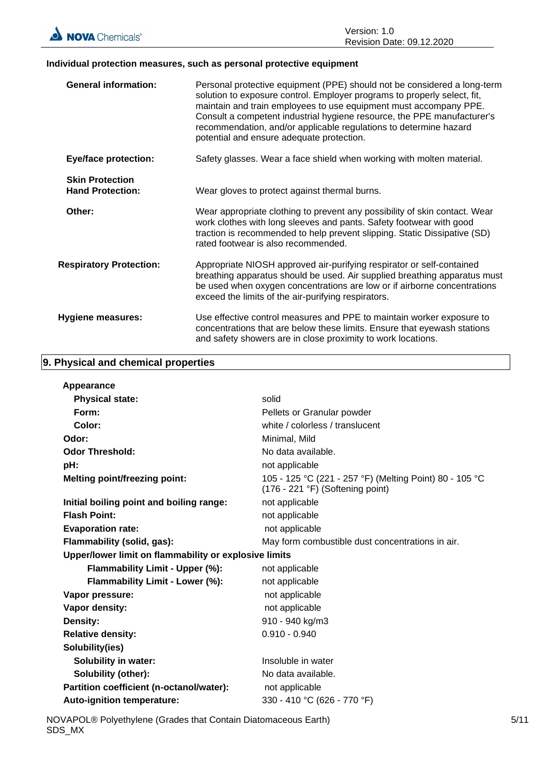

#### **Individual protection measures, such as personal protective equipment**

| <b>General information:</b>                       | Personal protective equipment (PPE) should not be considered a long-term<br>solution to exposure control. Employer programs to properly select, fit,<br>maintain and train employees to use equipment must accompany PPE.<br>Consult a competent industrial hygiene resource, the PPE manufacturer's<br>recommendation, and/or applicable regulations to determine hazard<br>potential and ensure adequate protection. |
|---------------------------------------------------|------------------------------------------------------------------------------------------------------------------------------------------------------------------------------------------------------------------------------------------------------------------------------------------------------------------------------------------------------------------------------------------------------------------------|
| <b>Eye/face protection:</b>                       | Safety glasses. Wear a face shield when working with molten material.                                                                                                                                                                                                                                                                                                                                                  |
| <b>Skin Protection</b><br><b>Hand Protection:</b> | Wear gloves to protect against thermal burns.                                                                                                                                                                                                                                                                                                                                                                          |
| Other:                                            | Wear appropriate clothing to prevent any possibility of skin contact. Wear<br>work clothes with long sleeves and pants. Safety footwear with good<br>traction is recommended to help prevent slipping. Static Dissipative (SD)<br>rated footwear is also recommended.                                                                                                                                                  |
| <b>Respiratory Protection:</b>                    | Appropriate NIOSH approved air-purifying respirator or self-contained<br>breathing apparatus should be used. Air supplied breathing apparatus must<br>be used when oxygen concentrations are low or if airborne concentrations<br>exceed the limits of the air-purifying respirators.                                                                                                                                  |
| <b>Hygiene measures:</b>                          | Use effective control measures and PPE to maintain worker exposure to<br>concentrations that are below these limits. Ensure that eyewash stations<br>and safety showers are in close proximity to work locations.                                                                                                                                                                                                      |

# **9. Physical and chemical properties**

| Appearance                                            |                                                                                             |
|-------------------------------------------------------|---------------------------------------------------------------------------------------------|
| <b>Physical state:</b>                                | solid                                                                                       |
| Form:                                                 | Pellets or Granular powder                                                                  |
| Color:                                                | white / colorless / translucent                                                             |
| Odor:                                                 | Minimal, Mild                                                                               |
| <b>Odor Threshold:</b>                                | No data available.                                                                          |
| pH:                                                   | not applicable                                                                              |
| <b>Melting point/freezing point:</b>                  | 105 - 125 °C (221 - 257 °F) (Melting Point) 80 - 105 °C<br>(176 - 221 °F) (Softening point) |
| Initial boiling point and boiling range:              | not applicable                                                                              |
| <b>Flash Point:</b>                                   | not applicable                                                                              |
| <b>Evaporation rate:</b>                              | not applicable                                                                              |
| Flammability (solid, gas):                            | May form combustible dust concentrations in air.                                            |
| Upper/lower limit on flammability or explosive limits |                                                                                             |
| Flammability Limit - Upper (%):                       | not applicable                                                                              |
| Flammability Limit - Lower (%):                       | not applicable                                                                              |
| Vapor pressure:                                       | not applicable                                                                              |
| Vapor density:                                        | not applicable                                                                              |
| Density:                                              | 910 - 940 kg/m3                                                                             |
| <b>Relative density:</b>                              | $0.910 - 0.940$                                                                             |
| Solubility(ies)                                       |                                                                                             |
| <b>Solubility in water:</b>                           | Insoluble in water                                                                          |
| <b>Solubility (other):</b>                            | No data available.                                                                          |
| Partition coefficient (n-octanol/water):              | not applicable                                                                              |
| <b>Auto-ignition temperature:</b>                     | 330 - 410 °C (626 - 770 °F)                                                                 |

NOVAPOL® Polyethylene (Grades that Contain Diatomaceous Earth) SDS\_MX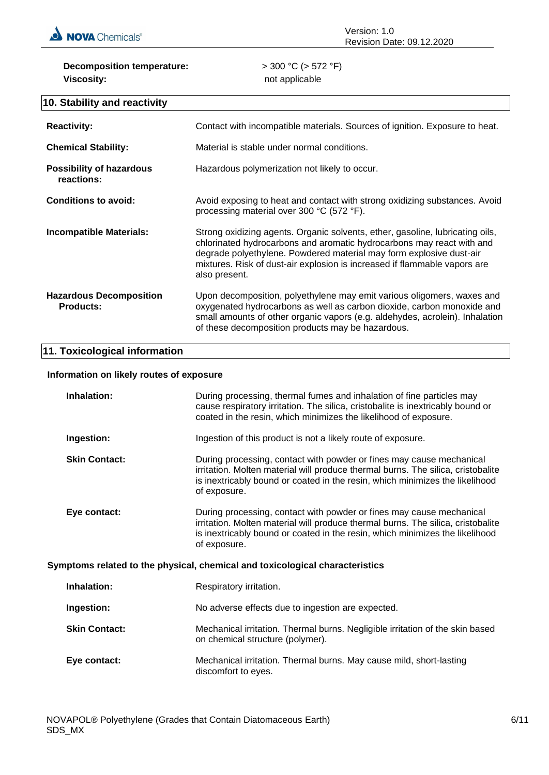

**Decomposition temperature:** > 300 °C (> 572 °F) **Viscosity:** not applicable

#### Version: 1.0 Revision Date: 09.12.2020

# **10. Stability and reactivity**

| <b>Reactivity:</b>                                 | Contact with incompatible materials. Sources of ignition. Exposure to heat.                                                                                                                                                                                                                                                 |
|----------------------------------------------------|-----------------------------------------------------------------------------------------------------------------------------------------------------------------------------------------------------------------------------------------------------------------------------------------------------------------------------|
| <b>Chemical Stability:</b>                         | Material is stable under normal conditions.                                                                                                                                                                                                                                                                                 |
| <b>Possibility of hazardous</b><br>reactions:      | Hazardous polymerization not likely to occur.                                                                                                                                                                                                                                                                               |
| Conditions to avoid:                               | Avoid exposing to heat and contact with strong oxidizing substances. Avoid<br>processing material over 300 °C (572 °F).                                                                                                                                                                                                     |
| Incompatible Materials:                            | Strong oxidizing agents. Organic solvents, ether, gasoline, lubricating oils,<br>chlorinated hydrocarbons and aromatic hydrocarbons may react with and<br>degrade polyethylene. Powdered material may form explosive dust-air<br>mixtures. Risk of dust-air explosion is increased if flammable vapors are<br>also present. |
| <b>Hazardous Decomposition</b><br><b>Products:</b> | Upon decomposition, polyethylene may emit various oligomers, waxes and<br>oxygenated hydrocarbons as well as carbon dioxide, carbon monoxide and<br>small amounts of other organic vapors (e.g. aldehydes, acrolein). Inhalation<br>of these decomposition products may be hazardous.                                       |

# **11. Toxicological information**

# **Information on likely routes of exposure**

| Inhalation:                                                                  | During processing, thermal fumes and inhalation of fine particles may<br>cause respiratory irritation. The silica, cristobalite is inextricably bound or<br>coated in the resin, which minimizes the likelihood of exposure.                             |  |
|------------------------------------------------------------------------------|----------------------------------------------------------------------------------------------------------------------------------------------------------------------------------------------------------------------------------------------------------|--|
| Ingestion:                                                                   | Ingestion of this product is not a likely route of exposure.                                                                                                                                                                                             |  |
| <b>Skin Contact:</b>                                                         | During processing, contact with powder or fines may cause mechanical<br>irritation. Molten material will produce thermal burns. The silica, cristobalite<br>is inextricably bound or coated in the resin, which minimizes the likelihood<br>of exposure. |  |
| Eye contact:                                                                 | During processing, contact with powder or fines may cause mechanical<br>irritation. Molten material will produce thermal burns. The silica, cristobalite<br>is inextricably bound or coated in the resin, which minimizes the likelihood<br>of exposure. |  |
| Symptoms related to the physical, chemical and toxicological characteristics |                                                                                                                                                                                                                                                          |  |
| Inhalation:                                                                  | Respiratory irritation.                                                                                                                                                                                                                                  |  |
| Ingestion:                                                                   | No adverse effects due to ingestion are expected.                                                                                                                                                                                                        |  |
| <b>Skin Contact:</b>                                                         | Mechanical irritation. Thermal burns. Negligible irritation of the skin based<br>on chemical structure (polymer).                                                                                                                                        |  |
| Eye contact:                                                                 | Mechanical irritation. Thermal burns. May cause mild, short-lasting<br>discomfort to eyes.                                                                                                                                                               |  |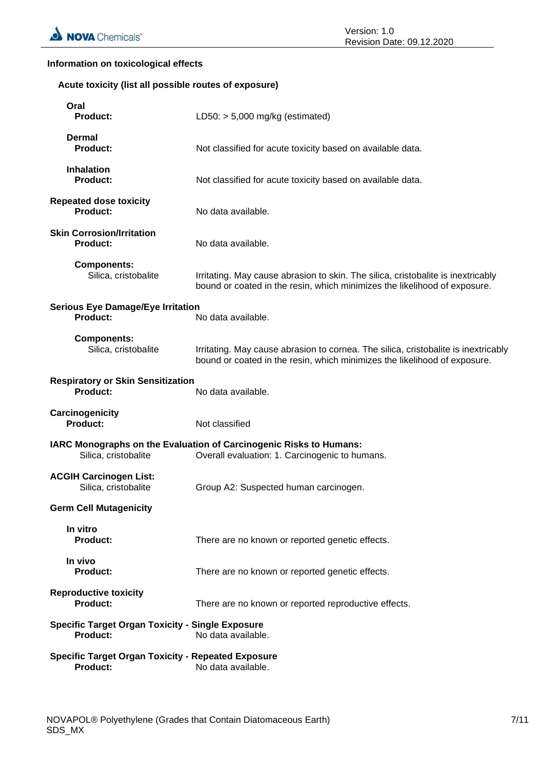#### **Information on toxicological effects**

#### **Acute toxicity (list all possible routes of exposure)**

| Oral<br><b>Product:</b>                                                      | LD50: $> 5,000$ mg/kg (estimated)                                                                                                                               |
|------------------------------------------------------------------------------|-----------------------------------------------------------------------------------------------------------------------------------------------------------------|
| Dermal<br><b>Product:</b>                                                    | Not classified for acute toxicity based on available data.                                                                                                      |
| <b>Inhalation</b><br><b>Product:</b>                                         | Not classified for acute toxicity based on available data.                                                                                                      |
| <b>Repeated dose toxicity</b><br>Product:                                    | No data available.                                                                                                                                              |
| <b>Skin Corrosion/Irritation</b><br><b>Product:</b>                          | No data available.                                                                                                                                              |
| <b>Components:</b><br>Silica, cristobalite                                   | Irritating. May cause abrasion to skin. The silica, cristobalite is inextricably<br>bound or coated in the resin, which minimizes the likelihood of exposure.   |
| <b>Serious Eye Damage/Eye Irritation</b><br><b>Product:</b>                  | No data available.                                                                                                                                              |
| <b>Components:</b><br>Silica, cristobalite                                   | Irritating. May cause abrasion to cornea. The silica, cristobalite is inextricably<br>bound or coated in the resin, which minimizes the likelihood of exposure. |
| <b>Respiratory or Skin Sensitization</b><br><b>Product:</b>                  | No data available.                                                                                                                                              |
| Carcinogenicity<br><b>Product:</b>                                           | Not classified                                                                                                                                                  |
| Silica, cristobalite                                                         | IARC Monographs on the Evaluation of Carcinogenic Risks to Humans:<br>Overall evaluation: 1. Carcinogenic to humans.                                            |
| <b>ACGIH Carcinogen List:</b><br>Silica, cristobalite                        | Group A2: Suspected human carcinogen.                                                                                                                           |
| <b>Germ Cell Mutagenicity</b>                                                |                                                                                                                                                                 |
| In vitro<br><b>Product:</b>                                                  | There are no known or reported genetic effects.                                                                                                                 |
| In vivo<br><b>Product:</b>                                                   | There are no known or reported genetic effects.                                                                                                                 |
| <b>Reproductive toxicity</b><br><b>Product:</b>                              | There are no known or reported reproductive effects.                                                                                                            |
| <b>Specific Target Organ Toxicity - Single Exposure</b><br><b>Product:</b>   | No data available.                                                                                                                                              |
| <b>Specific Target Organ Toxicity - Repeated Exposure</b><br><b>Product:</b> | No data available.                                                                                                                                              |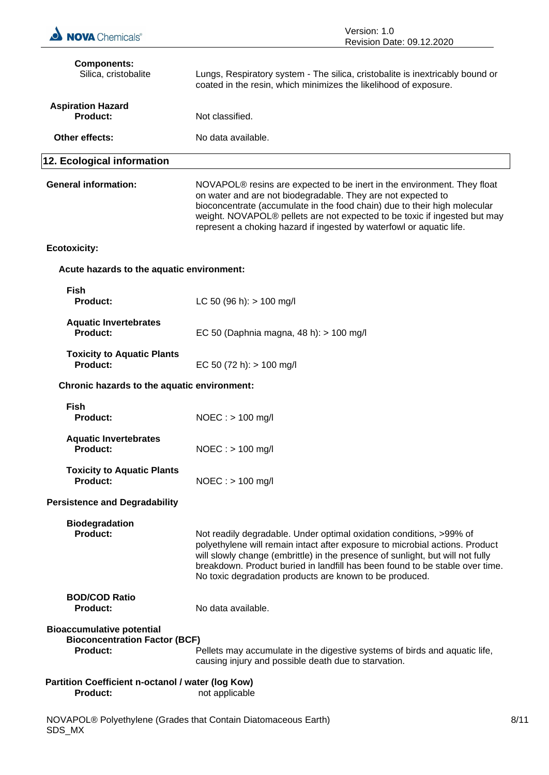| <b>NOVA</b> Chemicals®                                                                      | Version: 1.0<br>Revision Date: 09.12.2020                                                                                                                                                                                                                                                                                                                                             |      |
|---------------------------------------------------------------------------------------------|---------------------------------------------------------------------------------------------------------------------------------------------------------------------------------------------------------------------------------------------------------------------------------------------------------------------------------------------------------------------------------------|------|
| <b>Components:</b><br>Silica, cristobalite                                                  | Lungs, Respiratory system - The silica, cristobalite is inextricably bound or<br>coated in the resin, which minimizes the likelihood of exposure.                                                                                                                                                                                                                                     |      |
| <b>Aspiration Hazard</b><br><b>Product:</b>                                                 | Not classified.                                                                                                                                                                                                                                                                                                                                                                       |      |
| Other effects:                                                                              | No data available.                                                                                                                                                                                                                                                                                                                                                                    |      |
| 12. Ecological information                                                                  |                                                                                                                                                                                                                                                                                                                                                                                       |      |
| <b>General information:</b>                                                                 | NOVAPOL <sup>®</sup> resins are expected to be inert in the environment. They float<br>on water and are not biodegradable. They are not expected to<br>bioconcentrate (accumulate in the food chain) due to their high molecular<br>weight. NOVAPOL® pellets are not expected to be toxic if ingested but may<br>represent a choking hazard if ingested by waterfowl or aquatic life. |      |
| <b>Ecotoxicity:</b>                                                                         |                                                                                                                                                                                                                                                                                                                                                                                       |      |
| Acute hazards to the aquatic environment:                                                   |                                                                                                                                                                                                                                                                                                                                                                                       |      |
| <b>Fish</b><br><b>Product:</b>                                                              | LC 50 (96 h): $> 100$ mg/l                                                                                                                                                                                                                                                                                                                                                            |      |
| <b>Aquatic Invertebrates</b><br><b>Product:</b>                                             | EC 50 (Daphnia magna, 48 h): > 100 mg/l                                                                                                                                                                                                                                                                                                                                               |      |
| <b>Toxicity to Aquatic Plants</b><br>Product:                                               | EC 50 (72 h): $> 100$ mg/l                                                                                                                                                                                                                                                                                                                                                            |      |
| Chronic hazards to the aquatic environment:                                                 |                                                                                                                                                                                                                                                                                                                                                                                       |      |
| <b>Fish</b><br><b>Product:</b>                                                              | $NOEC : > 100$ mg/l                                                                                                                                                                                                                                                                                                                                                                   |      |
| <b>Aquatic Invertebrates</b><br><b>Product:</b>                                             | $NOEC : > 100$ mg/l                                                                                                                                                                                                                                                                                                                                                                   |      |
| <b>Toxicity to Aquatic Plants</b><br><b>Product:</b>                                        | $NOEC : > 100$ mg/l                                                                                                                                                                                                                                                                                                                                                                   |      |
| <b>Persistence and Degradability</b>                                                        |                                                                                                                                                                                                                                                                                                                                                                                       |      |
| <b>Biodegradation</b><br><b>Product:</b>                                                    | Not readily degradable. Under optimal oxidation conditions, >99% of<br>polyethylene will remain intact after exposure to microbial actions. Product<br>will slowly change (embrittle) in the presence of sunlight, but will not fully<br>breakdown. Product buried in landfill has been found to be stable over time.<br>No toxic degradation products are known to be produced.      |      |
| <b>BOD/COD Ratio</b><br><b>Product:</b>                                                     | No data available.                                                                                                                                                                                                                                                                                                                                                                    |      |
| <b>Bioaccumulative potential</b><br><b>Bioconcentration Factor (BCF)</b><br><b>Product:</b> | Pellets may accumulate in the digestive systems of birds and aquatic life,<br>causing injury and possible death due to starvation.                                                                                                                                                                                                                                                    |      |
| Partition Coefficient n-octanol / water (log Kow)<br>Product:                               | not applicable                                                                                                                                                                                                                                                                                                                                                                        |      |
| NOVAPOL® Polyethylene (Grades that Contain Diatomaceous Earth)<br>SDS_MX                    |                                                                                                                                                                                                                                                                                                                                                                                       | 8/11 |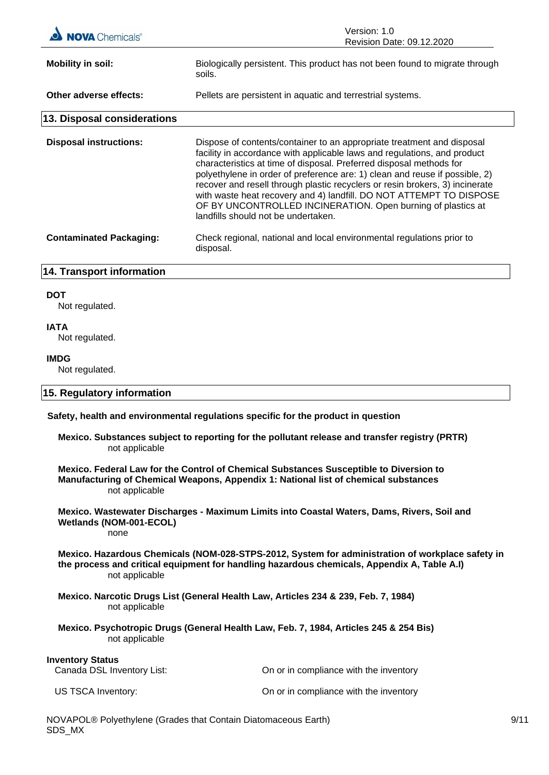| <b>NOVA</b> Chemicals®                                | Version: 1.0<br>Revision Date: 09.12.2020                                                                                                                                                                                                                                                                                                                                                                                                                                                                                                                              |
|-------------------------------------------------------|------------------------------------------------------------------------------------------------------------------------------------------------------------------------------------------------------------------------------------------------------------------------------------------------------------------------------------------------------------------------------------------------------------------------------------------------------------------------------------------------------------------------------------------------------------------------|
| <b>Mobility in soil:</b>                              | Biologically persistent. This product has not been found to migrate through<br>soils.                                                                                                                                                                                                                                                                                                                                                                                                                                                                                  |
| Other adverse effects:                                | Pellets are persistent in aquatic and terrestrial systems.                                                                                                                                                                                                                                                                                                                                                                                                                                                                                                             |
| 13. Disposal considerations                           |                                                                                                                                                                                                                                                                                                                                                                                                                                                                                                                                                                        |
| <b>Disposal instructions:</b>                         | Dispose of contents/container to an appropriate treatment and disposal<br>facility in accordance with applicable laws and regulations, and product<br>characteristics at time of disposal. Preferred disposal methods for<br>polyethylene in order of preference are: 1) clean and reuse if possible, 2)<br>recover and resell through plastic recyclers or resin brokers, 3) incinerate<br>with waste heat recovery and 4) landfill. DO NOT ATTEMPT TO DISPOSE<br>OF BY UNCONTROLLED INCINERATION. Open burning of plastics at<br>landfills should not be undertaken. |
| <b>Contaminated Packaging:</b>                        | Check regional, national and local environmental regulations prior to<br>disposal.                                                                                                                                                                                                                                                                                                                                                                                                                                                                                     |
| 14. Transport information                             |                                                                                                                                                                                                                                                                                                                                                                                                                                                                                                                                                                        |
| <b>DOT</b>                                            |                                                                                                                                                                                                                                                                                                                                                                                                                                                                                                                                                                        |
| Not regulated.                                        |                                                                                                                                                                                                                                                                                                                                                                                                                                                                                                                                                                        |
| <b>IATA</b><br>Not regulated.                         |                                                                                                                                                                                                                                                                                                                                                                                                                                                                                                                                                                        |
| <b>IMDG</b><br>Not regulated.                         |                                                                                                                                                                                                                                                                                                                                                                                                                                                                                                                                                                        |
| 15. Regulatory information                            |                                                                                                                                                                                                                                                                                                                                                                                                                                                                                                                                                                        |
|                                                       | Safety, health and environmental regulations specific for the product in question                                                                                                                                                                                                                                                                                                                                                                                                                                                                                      |
| not applicable                                        | Mexico. Substances subject to reporting for the pollutant release and transfer registry (PRTR)                                                                                                                                                                                                                                                                                                                                                                                                                                                                         |
| not applicable                                        | Mexico. Federal Law for the Control of Chemical Substances Susceptible to Diversion to<br>Manufacturing of Chemical Weapons, Appendix 1: National list of chemical substances                                                                                                                                                                                                                                                                                                                                                                                          |
| Wetlands (NOM-001-ECOL)<br>none                       | Mexico. Wastewater Discharges - Maximum Limits into Coastal Waters, Dams, Rivers, Soil and                                                                                                                                                                                                                                                                                                                                                                                                                                                                             |
| not applicable                                        | Mexico. Hazardous Chemicals (NOM-028-STPS-2012, System for administration of workplace safety in<br>the process and critical equipment for handling hazardous chemicals, Appendix A, Table A.I)                                                                                                                                                                                                                                                                                                                                                                        |
| not applicable                                        | Mexico. Narcotic Drugs List (General Health Law, Articles 234 & 239, Feb. 7, 1984)                                                                                                                                                                                                                                                                                                                                                                                                                                                                                     |
| not applicable                                        | Mexico. Psychotropic Drugs (General Health Law, Feb. 7, 1984, Articles 245 & 254 Bis)                                                                                                                                                                                                                                                                                                                                                                                                                                                                                  |
| <b>Inventory Status</b><br>Canada DSL Inventory List: | On or in compliance with the inventory                                                                                                                                                                                                                                                                                                                                                                                                                                                                                                                                 |
| US TSCA Inventory:                                    | On or in compliance with the inventory                                                                                                                                                                                                                                                                                                                                                                                                                                                                                                                                 |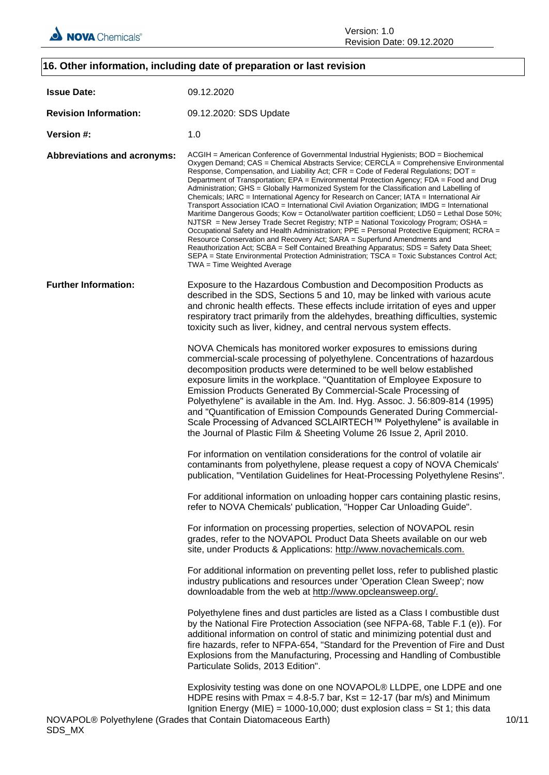

# **16. Other information, including date of preparation or last revision Issue Date:** 09.12.2020 **Revision Information:** 09.12.2020: SDS Update **Version #:** 1.0 **Abbreviations and acronyms:** ACGIH = American Conference of Governmental Industrial Hygienists; BOD = Biochemical Oxygen Demand; CAS = Chemical Abstracts Service; CERCLA = Comprehensive Environmental Response, Compensation, and Liability Act; CFR = Code of Federal Regulations; DOT = Department of Transportation; EPA = Environmental Protection Agency; FDA = Food and Drug Administration; GHS = Globally Harmonized System for the Classification and Labelling of Chemicals; IARC = International Agency for Research on Cancer; IATA = International Air Transport Association ICAO = International Civil Aviation Organization; IMDG = International Maritime Dangerous Goods; Kow = Octanol/water partition coefficient; LD50 = Lethal Dose 50%; NJTSR = New Jersey Trade Secret Registry; NTP = National Toxicology Program; OSHA = Occupational Safety and Health Administration; PPE = Personal Protective Equipment; RCRA = Resource Conservation and Recovery Act; SARA = Superfund Amendments and Reauthorization Act; SCBA = Self Contained Breathing Apparatus; SDS = Safety Data Sheet; SEPA = State Environmental Protection Administration; TSCA = Toxic Substances Control Act; TWA = Time Weighted Average **Further Information:** Exposure to the Hazardous Combustion and Decomposition Products as described in the SDS, Sections 5 and 10, may be linked with various acute and chronic health effects. These effects include irritation of eyes and upper respiratory tract primarily from the aldehydes, breathing difficulties, systemic toxicity such as liver, kidney, and central nervous system effects. NOVA Chemicals has monitored worker exposures to emissions during commercial-scale processing of polyethylene. Concentrations of hazardous decomposition products were determined to be well below established exposure limits in the workplace. "Quantitation of Employee Exposure to Emission Products Generated By Commercial-Scale Processing of Polyethylene" is available in the Am. Ind. Hyg. Assoc. J. 56:809-814 (1995) and "Quantification of Emission Compounds Generated During Commercial-Scale Processing of Advanced SCLAIRTECH™ Polyethylene" is available in the Journal of Plastic Film & Sheeting Volume 26 Issue 2, April 2010. For information on ventilation considerations for the control of volatile air contaminants from polyethylene, please request a copy of NOVA Chemicals' publication, "Ventilation Guidelines for Heat-Processing Polyethylene Resins". For additional information on unloading hopper cars containing plastic resins, refer to NOVA Chemicals' publication, "Hopper Car Unloading Guide". For information on processing properties, selection of NOVAPOL resin grades, refer to the NOVAPOL Product Data Sheets available on our web site, under Products & Applications: http://www.novachemicals.com. For additional information on preventing pellet loss, refer to published plastic industry publications and resources under 'Operation Clean Sweep'; now downloadable from the web at http://www.opcleansweep.org/. Polyethylene fines and dust particles are listed as a Class I combustible dust by the National Fire Protection Association (see NFPA-68, Table F.1 (e)). For additional information on control of static and minimizing potential dust and fire hazards, refer to NFPA-654, "Standard for the Prevention of Fire and Dust Explosions from the Manufacturing, Processing and Handling of Combustible Particulate Solids, 2013 Edition". Explosivity testing was done on one NOVAPOL® LLDPE, one LDPE and one HDPE resins with Pmax = 4.8-5.7 bar, Kst = 12-17 (bar m/s) and Minimum Ignition Energy (MIE) = 1000-10,000; dust explosion class = St 1; this data